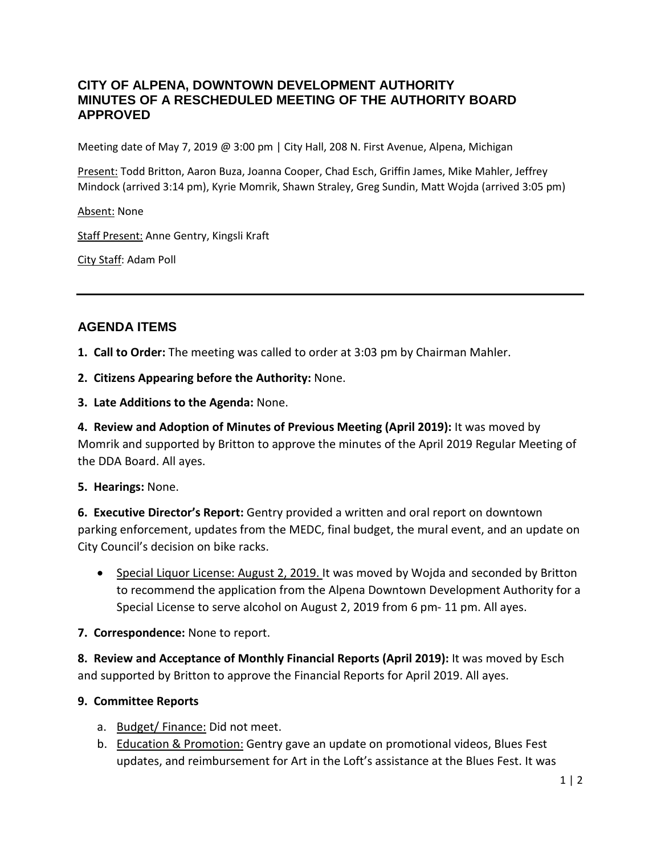## **CITY OF ALPENA, DOWNTOWN DEVELOPMENT AUTHORITY MINUTES OF A RESCHEDULED MEETING OF THE AUTHORITY BOARD APPROVED**

Meeting date of May 7, 2019 @ 3:00 pm | City Hall, 208 N. First Avenue, Alpena, Michigan

Present: Todd Britton, Aaron Buza, Joanna Cooper, Chad Esch, Griffin James, Mike Mahler, Jeffrey Mindock (arrived 3:14 pm), Kyrie Momrik, Shawn Straley, Greg Sundin, Matt Wojda (arrived 3:05 pm)

Absent: None

Staff Present: Anne Gentry, Kingsli Kraft

City Staff: Adam Poll

## **AGENDA ITEMS**

**1. Call to Order:** The meeting was called to order at 3:03 pm by Chairman Mahler.

**2. Citizens Appearing before the Authority:** None.

**3. Late Additions to the Agenda:** None.

**4. Review and Adoption of Minutes of Previous Meeting (April 2019):** It was moved by Momrik and supported by Britton to approve the minutes of the April 2019 Regular Meeting of the DDA Board. All ayes.

### **5. Hearings:** None.

**6. Executive Director's Report:** Gentry provided a written and oral report on downtown parking enforcement, updates from the MEDC, final budget, the mural event, and an update on City Council's decision on bike racks.

• Special Liquor License: August 2, 2019. It was moved by Wojda and seconded by Britton to recommend the application from the Alpena Downtown Development Authority for a Special License to serve alcohol on August 2, 2019 from 6 pm- 11 pm. All ayes.

### **7. Correspondence:** None to report.

**8. Review and Acceptance of Monthly Financial Reports (April 2019):** It was moved by Esch and supported by Britton to approve the Financial Reports for April 2019. All ayes.

### **9. Committee Reports**

- a. Budget/ Finance: Did not meet.
- b. Education & Promotion: Gentry gave an update on promotional videos, Blues Fest updates, and reimbursement for Art in the Loft's assistance at the Blues Fest. It was